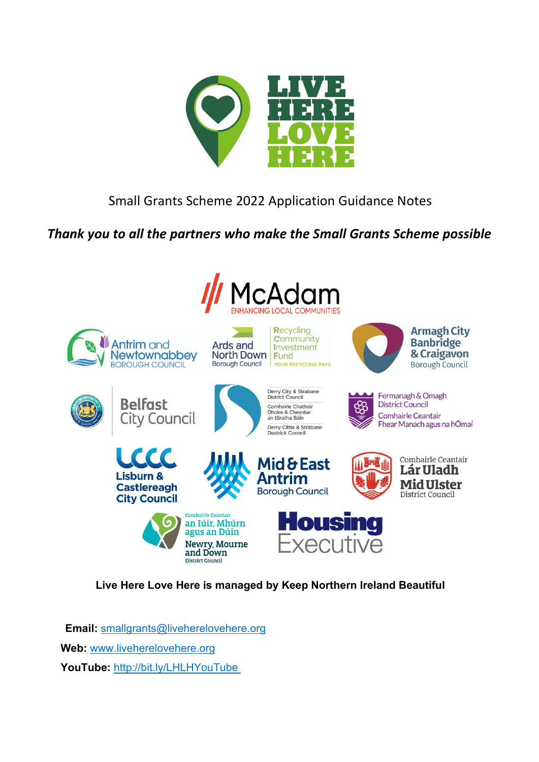

# Small Grants Scheme 2022 Application Guidance Notes

# *Thank you to all the partners who make the Small Grants Scheme possible*



# **Live Here Love Here is managed by Keep Northern Ireland Beautiful**

**Email:** [smallgrants@liveherelovehere.org](mailto:smallgrants@liveherelovehere.org) **Web:** [www.liveherelovehere.org](http://www.liveherelovehere.org/) **YouTube:** <http://bit.ly/LHLHYouTube>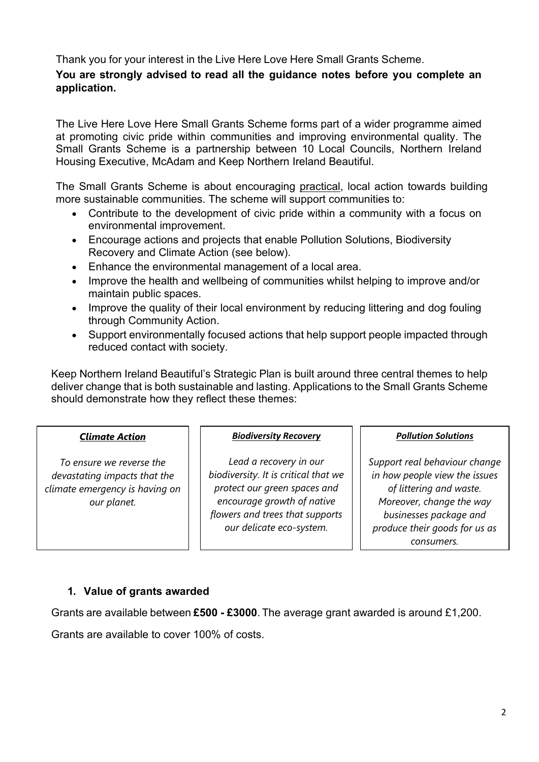Thank you for your interest in the Live Here Love Here Small Grants Scheme.

## **You are strongly advised to read all the guidance notes before you complete an application.**

The Live Here Love Here Small Grants Scheme forms part of a wider programme aimed at promoting civic pride within communities and improving environmental quality. The Small Grants Scheme is a partnership between 10 Local Councils, Northern Ireland Housing Executive, McAdam and Keep Northern Ireland Beautiful.

The Small Grants Scheme is about encouraging practical, local action towards building more sustainable communities. The scheme will support communities to:

- Contribute to the development of civic pride within a community with a focus on environmental improvement.
- Encourage actions and projects that enable Pollution Solutions, Biodiversity Recovery and Climate Action (see below).
- Enhance the environmental management of a local area.
- Improve the health and wellbeing of communities whilst helping to improve and/or maintain public spaces.
- Improve the quality of their local environment by reducing littering and dog fouling through Community Action.
- Support environmentally focused actions that help support people impacted through reduced contact with society.

Keep Northern Ireland Beautiful's Strategic Plan is built around three central themes to help deliver change that is both sustainable and lasting. Applications to the Small Grants Scheme should demonstrate how they reflect these themes:

#### *Climate Action*

*To ensure we reverse the devastating impacts that the climate emergency is having on our planet.*

#### *Biodiversity Recovery*

*Lead a recovery in our biodiversity. It is critical that we protect our green spaces and encourage growth of native flowers and trees that supports our delicate eco-system.*

#### *Pollution Solutions*

*Support real behaviour change in how people view the issues of littering and waste. Moreover, change the way businesses package and produce their goods for us as consumers.*

## **1. Value of grants awarded**

Grants are available between **£500 - £3000**. The average grant awarded is around £1,200.

Grants are available to cover 100% of costs.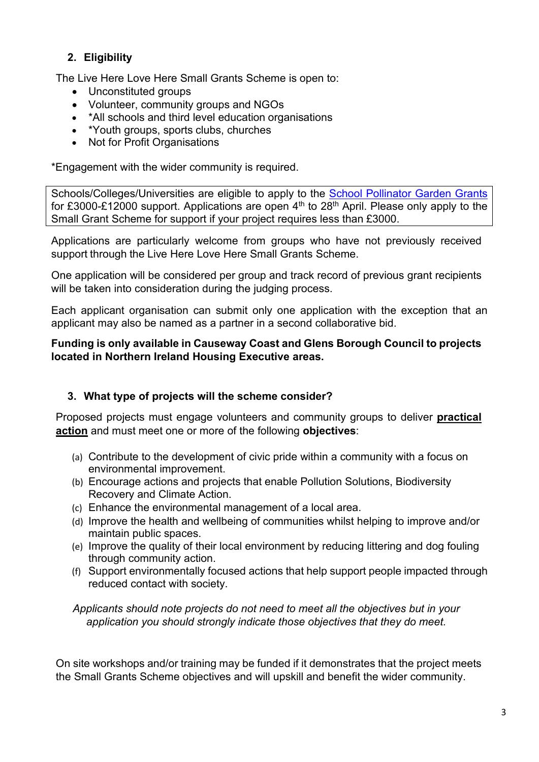# **2. Eligibility**

The Live Here Love Here Small Grants Scheme is open to:

- Unconstituted groups
- Volunteer, community groups and NGOs
- \*All schools and third level education organisations
- \*Youth groups, sports clubs, churches
- Not for Profit Organisations

\*Engagement with the wider community is required.

Schools/Colleges/Universities are eligible to apply to the [School Pollinator Garden Grants](https://www.liveherelovehere.org/schoolpollinatorgrants) for £3000-£12000 support. Applications are open 4<sup>th</sup> to 28<sup>th</sup> April. Please only apply to the Small Grant Scheme for support if your project requires less than £3000.

Applications are particularly welcome from groups who have not previously received support through the Live Here Love Here Small Grants Scheme.

One application will be considered per group and track record of previous grant recipients will be taken into consideration during the judging process.

Each applicant organisation can submit only one application with the exception that an applicant may also be named as a partner in a second collaborative bid.

#### **Funding is only available in Causeway Coast and Glens Borough Council to projects located in Northern Ireland Housing Executive areas.**

# **3. What type of projects will the scheme consider?**

Proposed projects must engage volunteers and community groups to deliver **practical action** and must meet one or more of the following **objectives**:

- (a) Contribute to the development of civic pride within a community with a focus on environmental improvement.
- (b) Encourage actions and projects that enable Pollution Solutions, Biodiversity Recovery and Climate Action.
- (c) Enhance the environmental management of a local area.
- (d) Improve the health and wellbeing of communities whilst helping to improve and/or maintain public spaces.
- (e) Improve the quality of their local environment by reducing littering and dog fouling through community action.
- (f) Support environmentally focused actions that help support people impacted through reduced contact with society.

*Applicants should note projects do not need to meet all the objectives but in your application you should strongly indicate those objectives that they do meet.*

On site workshops and/or training may be funded if it demonstrates that the project meets the Small Grants Scheme objectives and will upskill and benefit the wider community.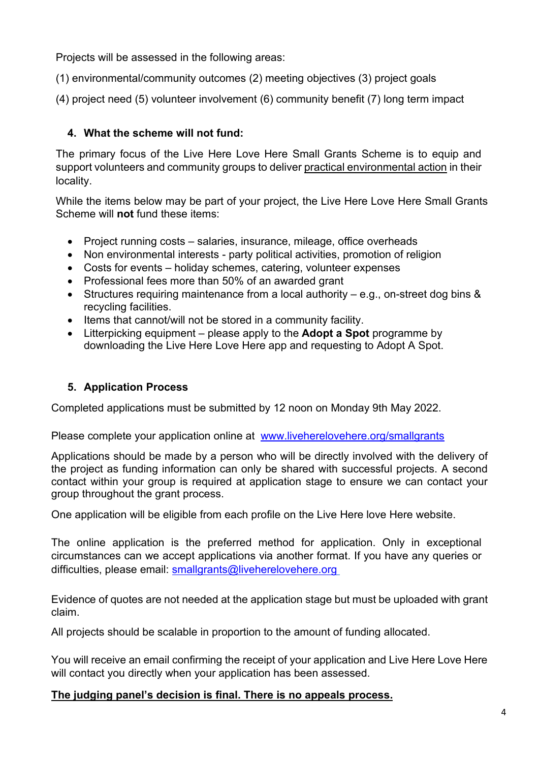Projects will be assessed in the following areas:

(1) environmental/community outcomes (2) meeting objectives (3) project goals

(4) project need (5) volunteer involvement (6) community benefit (7) long term impact

# **4. What the scheme will not fund:**

The primary focus of the Live Here Love Here Small Grants Scheme is to equip and support volunteers and community groups to deliver practical environmental action in their locality.

While the items below may be part of your project, the Live Here Love Here Small Grants Scheme will **not** fund these items:

- Project running costs salaries, insurance, mileage, office overheads
- Non environmental interests party political activities, promotion of religion
- Costs for events holiday schemes, catering, volunteer expenses
- Professional fees more than 50% of an awarded grant
- Structures requiring maintenance from a local authority e.g., on-street dog bins & recycling facilities.
- Items that cannot/will not be stored in a community facility.
- Litterpicking equipment please apply to the **Adopt a Spot** programme by downloading the Live Here Love Here app and requesting to Adopt A Spot.

# **5. Application Process**

Completed applications must be submitted by 12 noon on Monday 9th May 2022.

Please complete your application online at [www.liveherelovehere.org/smallg](http://www.liveherelovehere.org/small)rants

Applications should be made by a person who will be directly involved with the delivery of the project as funding information can only be shared with successful projects. A second contact within your group is required at application stage to ensure we can contact your group throughout the grant process.

One application will be eligible from each profile on the Live Here love Here website.

The online application is the preferred method for application. Only in exceptional circumstances can we accept applications via another format. If you have any queries or difficulties, please email: [smallgrants@liveherelovehere.org](mailto:smallgrants@liveherelovehere.org)

Evidence of quotes are not needed at the application stage but must be uploaded with grant claim.

All projects should be scalable in proportion to the amount of funding allocated.

You will receive an email confirming the receipt of your application and Live Here Love Here will contact you directly when your application has been assessed.

# **The judging panel's decision is final. There is no appeals process.**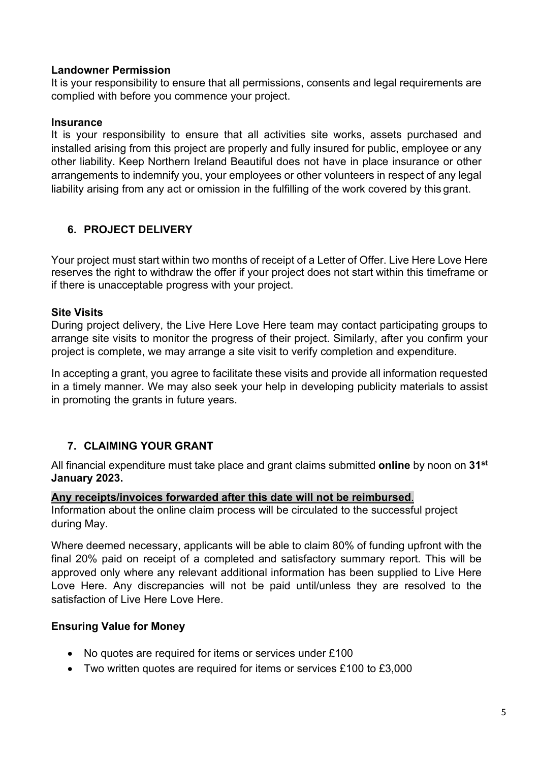#### **Landowner Permission**

It is your responsibility to ensure that all permissions, consents and legal requirements are complied with before you commence your project.

#### **Insurance**

It is your responsibility to ensure that all activities site works, assets purchased and installed arising from this project are properly and fully insured for public, employee or any other liability. Keep Northern Ireland Beautiful does not have in place insurance or other arrangements to indemnify you, your employees or other volunteers in respect of any legal liability arising from any act or omission in the fulfilling of the work covered by this grant.

# **6. PROJECT DELIVERY**

Your project must start within two months of receipt of a Letter of Offer. Live Here Love Here reserves the right to withdraw the offer if your project does not start within this timeframe or if there is unacceptable progress with your project.

## **Site Visits**

During project delivery, the Live Here Love Here team may contact participating groups to arrange site visits to monitor the progress of their project. Similarly, after you confirm your project is complete, we may arrange a site visit to verify completion and expenditure.

In accepting a grant, you agree to facilitate these visits and provide all information requested in a timely manner. We may also seek your help in developing publicity materials to assist in promoting the grants in future years.

# **7. CLAIMING YOUR GRANT**

All financial expenditure must take place and grant claims submitted **online** by noon on **31st January 2023.**

#### **Any receipts/invoices forwarded after this date will not be reimbursed**.

Information about the online claim process will be circulated to the successful project during May.

Where deemed necessary, applicants will be able to claim 80% of funding upfront with the final 20% paid on receipt of a completed and satisfactory summary report. This will be approved only where any relevant additional information has been supplied to Live Here Love Here. Any discrepancies will not be paid until/unless they are resolved to the satisfaction of Live Here Love Here.

## **Ensuring Value for Money**

- No quotes are required for items or services under £100
- Two written quotes are required for items or services £100 to £3,000